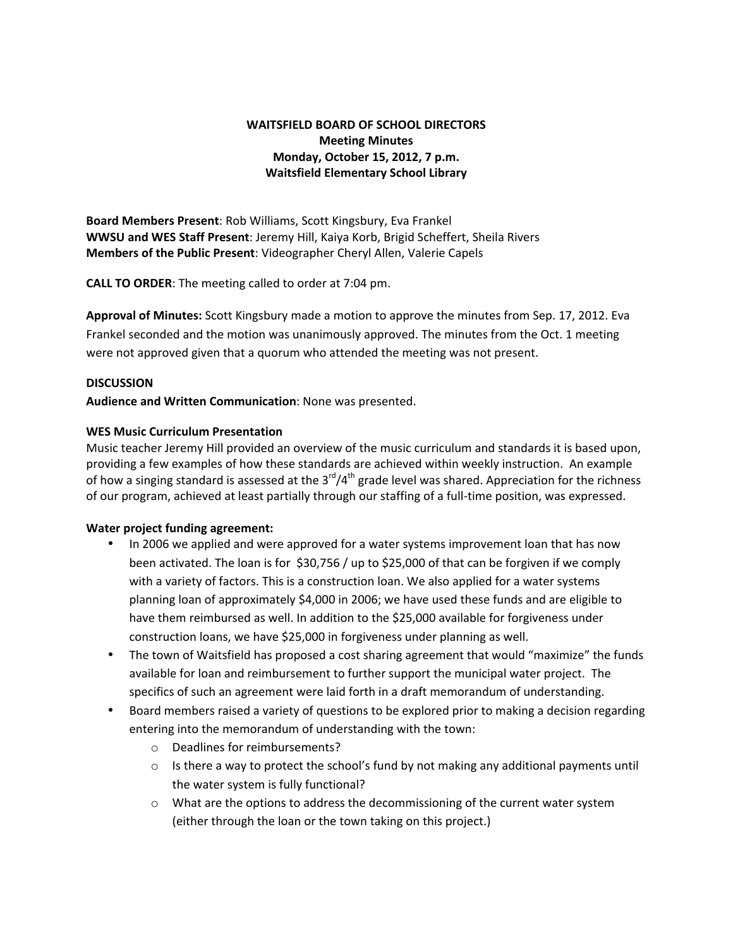# **WAITSFIELD BOARD OF SCHOOL DIRECTORS Meeting Minutes Monday, October 15, 2012, 7 p.m. Waitsfield Elementary School Library**

**Board Members Present**: Rob Williams, Scott Kingsbury, Eva Frankel **WWSU and WES Staff Present**: Jeremy Hill, Kaiya Korb, Brigid Scheffert, Sheila Rivers **Members of the Public Present**: Videographer Cheryl Allen, Valerie Capels

**CALL TO ORDER**: The meeting called to order at 7:04 pm.

**Approval of Minutes:** Scott Kingsbury made a motion to approve the minutes from Sep. 17, 2012. Eva Frankel seconded and the motion was unanimously approved. The minutes from the Oct. 1 meeting were not approved given that a quorum who attended the meeting was not present.

# **DISCUSSION**

**Audience and Written Communication**: None was presented.

# **WES Music Curriculum Presentation**

Music teacher Jeremy Hill provided an overview of the music curriculum and standards it is based upon, providing a few examples of how these standards are achieved within weekly instruction. An example of how a singing standard is assessed at the  $3^{rd}/4^{th}$  grade level was shared. Appreciation for the richness of our program, achieved at least partially through our staffing of a full‐time position, was expressed.

# **Water project funding agreement:**

- In 2006 we applied and were approved for a water systems improvement loan that has now been activated. The loan is for \$30,756 / up to \$25,000 of that can be forgiven if we comply with a variety of factors. This is a construction loan. We also applied for a water systems planning loan of approximately \$4,000 in 2006; we have used these funds and are eligible to have them reimbursed as well. In addition to the \$25,000 available for forgiveness under construction loans, we have \$25,000 in forgiveness under planning as well.
- The town of Waitsfield has proposed a cost sharing agreement that would "maximize" the funds available for loan and reimbursement to further support the municipal water project. The specifics of such an agreement were laid forth in a draft memorandum of understanding.
- Board members raised a variety of questions to be explored prior to making a decision regarding entering into the memorandum of understanding with the town:
	- o Deadlines for reimbursements?
	- $\circ$  Is there a way to protect the school's fund by not making any additional payments until the water system is fully functional?
	- $\circ$  What are the options to address the decommissioning of the current water system (either through the loan or the town taking on this project.)